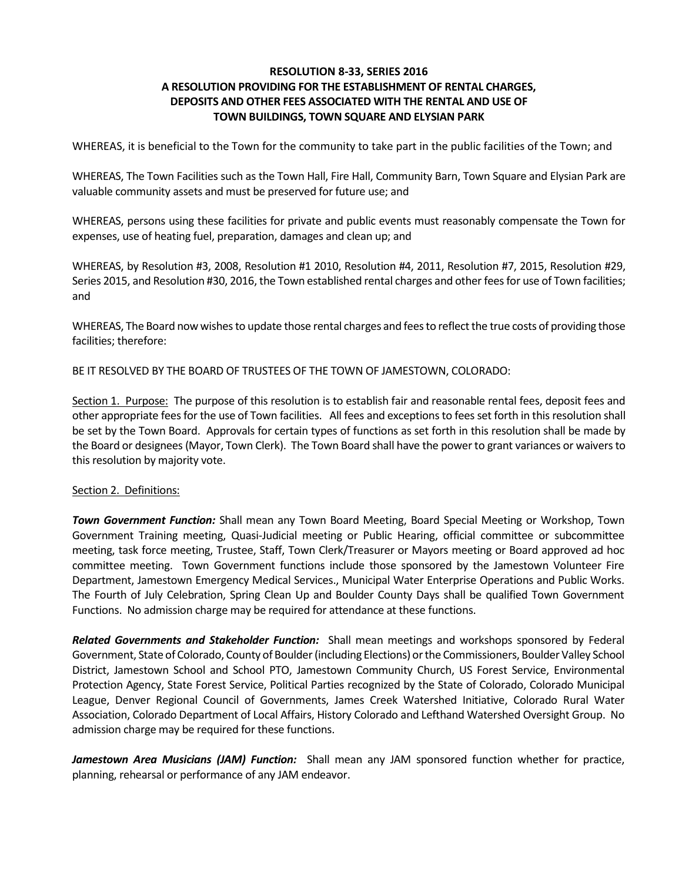### **RESOLUTION 8-33, SERIES 2016 A RESOLUTION PROVIDING FOR THE ESTABLISHMENT OF RENTAL CHARGES, DEPOSITS AND OTHER FEES ASSOCIATED WITH THE RENTAL AND USE OF TOWN BUILDINGS, TOWN SQUARE AND ELYSIAN PARK**

WHEREAS, it is beneficial to the Town for the community to take part in the public facilities of the Town; and

WHEREAS, The Town Facilities such as the Town Hall, Fire Hall, Community Barn, Town Square and Elysian Park are valuable community assets and must be preserved for future use; and

WHEREAS, persons using these facilities for private and public events must reasonably compensate the Town for expenses, use of heating fuel, preparation, damages and clean up; and

WHEREAS, by Resolution #3, 2008, Resolution #1 2010, Resolution #4, 2011, Resolution #7, 2015, Resolution #29, Series 2015, and Resolution #30, 2016, the Town established rental charges and other fees for use of Town facilities; and

WHEREAS, The Board now wishes to update those rental charges and fees to reflect the true costs of providing those facilities; therefore:

BE IT RESOLVED BY THE BOARD OF TRUSTEES OF THE TOWN OF JAMESTOWN, COLORADO:

Section 1. Purpose: The purpose of this resolution is to establish fair and reasonable rental fees, deposit fees and other appropriate fees for the use of Town facilities. All fees and exceptions to fees set forth in this resolution shall be set by the Town Board. Approvals for certain types of functions as set forth in this resolution shall be made by the Board or designees (Mayor, Town Clerk). The Town Board shall have the power to grant variances or waivers to this resolution by majority vote.

#### Section 2. Definitions:

*Town Government Function:* Shall mean any Town Board Meeting, Board Special Meeting or Workshop, Town Government Training meeting, Quasi-Judicial meeting or Public Hearing, official committee or subcommittee meeting, task force meeting, Trustee, Staff, Town Clerk/Treasurer or Mayors meeting or Board approved ad hoc committee meeting. Town Government functions include those sponsored by the Jamestown Volunteer Fire Department, Jamestown Emergency Medical Services., Municipal Water Enterprise Operations and Public Works. The Fourth of July Celebration, Spring Clean Up and Boulder County Days shall be qualified Town Government Functions. No admission charge may be required for attendance at these functions.

*Related Governments and Stakeholder Function:*Shall mean meetings and workshops sponsored by Federal Government, State of Colorado, County of Boulder(including Elections) or the Commissioners, Boulder Valley School District, Jamestown School and School PTO, Jamestown Community Church, US Forest Service, Environmental Protection Agency, State Forest Service, Political Parties recognized by the State of Colorado, Colorado Municipal League, Denver Regional Council of Governments, James Creek Watershed Initiative, Colorado Rural Water Association, Colorado Department of Local Affairs, History Colorado and Lefthand Watershed Oversight Group. No admission charge may be required for these functions.

*Jamestown Area Musicians (JAM) Function:* Shall mean any JAM sponsored function whether for practice, planning, rehearsal or performance of any JAM endeavor.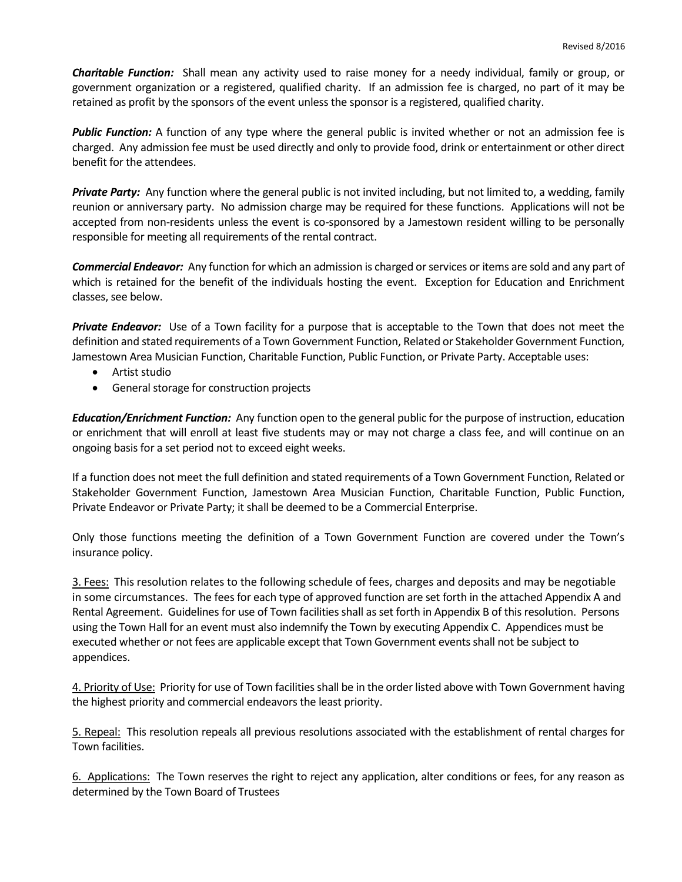*Charitable Function:* Shall mean any activity used to raise money for a needy individual, family or group, or government organization or a registered, qualified charity. If an admission fee is charged, no part of it may be retained as profit by the sponsors of the event unless the sponsor is a registered, qualified charity.

*Public Function:* A function of any type where the general public is invited whether or not an admission fee is charged. Any admission fee must be used directly and only to provide food, drink or entertainment or other direct benefit for the attendees.

*Private Party:* Any function where the general public is not invited including, but not limited to, a wedding, family reunion or anniversary party. No admission charge may be required for these functions. Applications will not be accepted from non-residents unless the event is co-sponsored by a Jamestown resident willing to be personally responsible for meeting all requirements of the rental contract.

*Commercial Endeavor:* Any function for which an admission is charged or services or items are sold and any part of which is retained for the benefit of the individuals hosting the event. Exception for Education and Enrichment classes, see below.

*Private Endeavor:* Use of a Town facility for a purpose that is acceptable to the Town that does not meet the definition and stated requirements of a Town Government Function, Related or Stakeholder Government Function, Jamestown Area Musician Function, Charitable Function, Public Function, or Private Party. Acceptable uses:

- Artist studio
- General storage for construction projects

*Education/Enrichment Function:*Any function open to the general public for the purpose of instruction, education or enrichment that will enroll at least five students may or may not charge a class fee, and will continue on an ongoing basis for a set period not to exceed eight weeks.

If a function does not meet the full definition and stated requirements of a Town Government Function, Related or Stakeholder Government Function, Jamestown Area Musician Function, Charitable Function, Public Function, Private Endeavor or Private Party; it shall be deemed to be a Commercial Enterprise.

Only those functions meeting the definition of a Town Government Function are covered under the Town's insurance policy.

3. Fees: This resolution relates to the following schedule of fees, charges and deposits and may be negotiable in some circumstances. The fees for each type of approved function are set forth in the attached Appendix A and Rental Agreement. Guidelines for use of Town facilities shall as set forth in Appendix B of this resolution. Persons using the Town Hall for an event must also indemnify the Town by executing Appendix C. Appendices must be executed whether or not fees are applicable except that Town Government events shall not be subject to appendices.

4. Priority of Use: Priority for use of Town facilities shall be in the order listed above with Town Government having the highest priority and commercial endeavors the least priority.

5. Repeal: This resolution repeals all previous resolutions associated with the establishment of rental charges for Town facilities.

6. Applications: The Town reserves the right to reject any application, alter conditions or fees, for any reason as determined by the Town Board of Trustees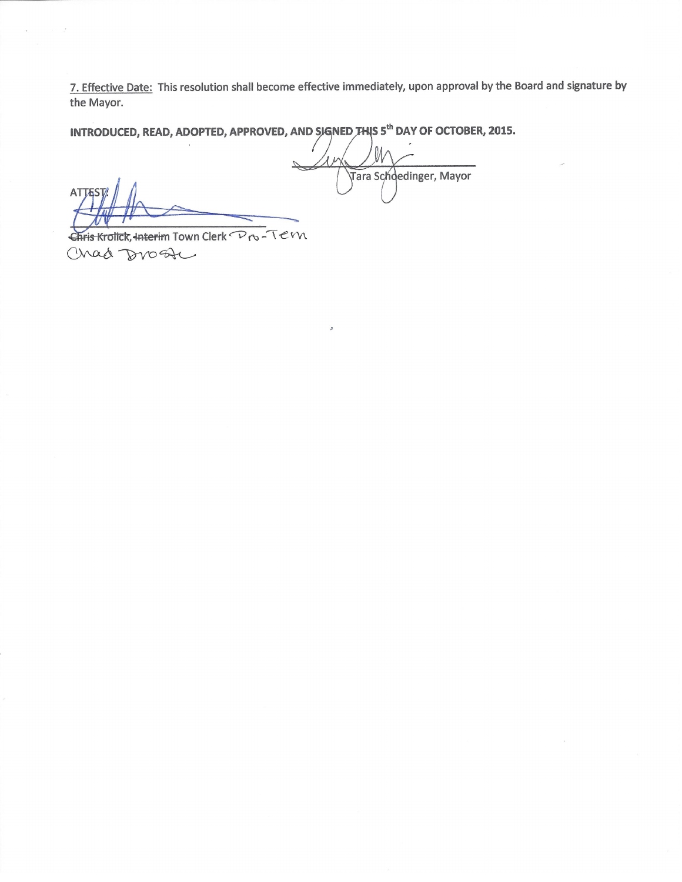7. Effective Date: This resolution shall become effective immediately, upon approval by the Board and signature by the Mayor.

INTRODUCED, READ, ADOPTED, APPROVED, AND SIGNED THIS 5<sup>th</sup> DAY OF OCTOBER, 2015.

**ATTE** 

Chris Krolick, Interim Town Clerk Pro-Tevn Chad Drost

 $\mathcal{U}$ Tara Schoedinger, Mayor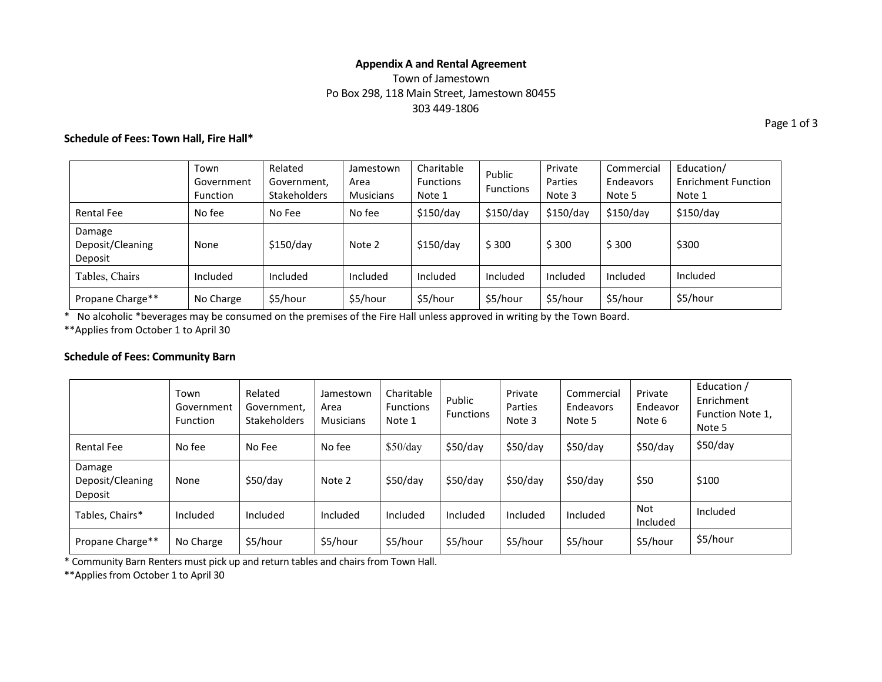### **Appendix A and Rental Agreement** Town of Jamestown Po Box 298, 118 Main Street, Jamestown 80455 303 449-1806

### **Schedule of Fees: Town Hall, Fire Hall\***

Town Government Function Related Government, **Stakeholders** Jamestown Area Musicians Charitable Functions Note 1 Public Functions Private Parties Note 3 Commercial Endeavors Note 5 Education/ Enrichment Function Note 1 Rental Fee No fee No Fee No fee \$150/day \$150/day \$150/day \$150/day \$150/day Damage Deposit/Cleaning Deposit None | \$150/day | Note 2 | \$150/day | \$ 300 | \$ 300 | \$300 | \$300 Tables, Chairs **Included** Included Included Included Included Included Included Included Included Propane Charge\*\* | No Charge | \$5/hour | \$5/hour | \$5/hour | \$5/hour | \$5/hour | \$5/hour | \$5/hour

\* No alcoholic \*beverages may be consumed on the premises of the Fire Hall unless approved in writing by the Town Board.

\*\*Applies from October 1 to April 30

#### **Schedule of Fees: Community Barn**

|                                       | Town<br>Government<br><b>Function</b> | Related<br>Government.<br><b>Stakeholders</b> | Jamestown<br>Area<br><b>Musicians</b> | Charitable<br><b>Functions</b><br>Note 1 | Public<br><b>Functions</b> | Private<br>Parties<br>Note 3 | Commercial<br>Endeavors<br>Note 5 | Private<br>Endeavor<br>Note 6 | Education /<br>Enrichment<br>Function Note 1,<br>Note 5 |
|---------------------------------------|---------------------------------------|-----------------------------------------------|---------------------------------------|------------------------------------------|----------------------------|------------------------------|-----------------------------------|-------------------------------|---------------------------------------------------------|
| <b>Rental Fee</b>                     | No fee                                | No Fee                                        | No fee                                | \$50/day                                 | \$50/day                   | \$50/day                     | \$50/day                          | \$50/day                      | \$50/day                                                |
| Damage<br>Deposit/Cleaning<br>Deposit | None                                  | \$50/day                                      | Note 2                                | \$50/day                                 | \$50/day                   | \$50/day                     | \$50/day                          | \$50                          | \$100                                                   |
| Tables, Chairs*                       | Included                              | Included                                      | Included                              | Included                                 | Included                   | Included                     | Included                          | Not<br>Included               | Included                                                |
| Propane Charge**                      | No Charge                             | \$5/hour                                      | \$5/hour                              | \$5/hour                                 | \$5/hour                   | \$5/hour                     | \$5/hour                          | \$5/hour                      | \$5/hour                                                |

\* Community Barn Renters must pick up and return tables and chairs from Town Hall.

\*\*Applies from October 1 to April 30

Page 1 of 3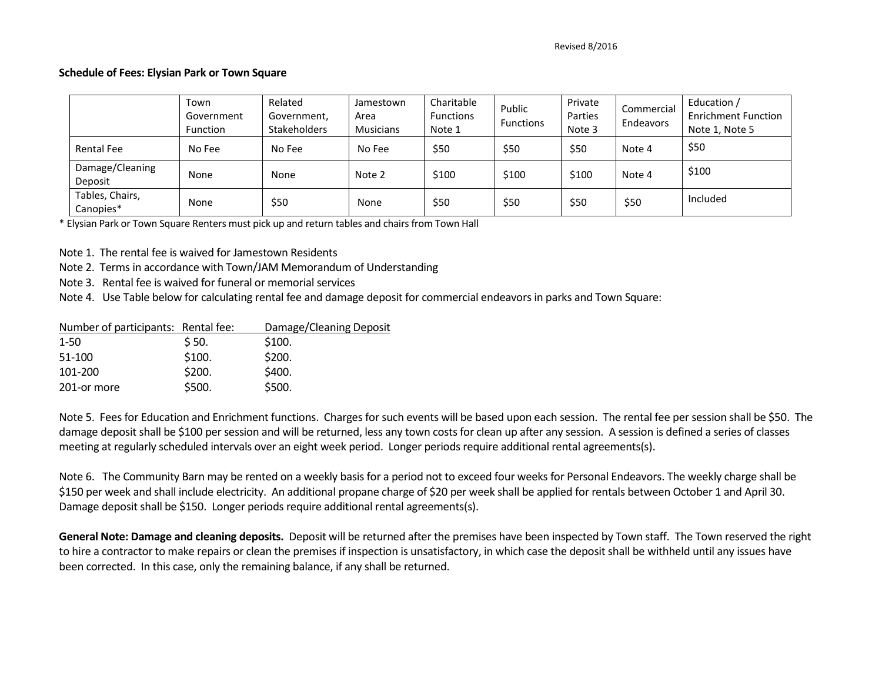#### **Schedule of Fees: Elysian Park or Town Square**

|                              | Town<br>Government<br><b>Function</b> | Related<br>Government,<br><b>Stakeholders</b> | Jamestown<br>Area<br><b>Musicians</b> | Charitable<br><b>Functions</b><br>Note 1 | Public<br><b>Functions</b> | Private<br>Parties<br>Note 3 | Commercial<br>Endeavors | Education /<br><b>Enrichment Function</b><br>Note 1, Note 5 |
|------------------------------|---------------------------------------|-----------------------------------------------|---------------------------------------|------------------------------------------|----------------------------|------------------------------|-------------------------|-------------------------------------------------------------|
| <b>Rental Fee</b>            | No Fee                                | No Fee                                        | No Fee                                | \$50                                     | \$50                       | \$50                         | Note 4                  | \$50                                                        |
| Damage/Cleaning<br>Deposit   | None                                  | None                                          | Note 2                                | \$100                                    | \$100                      | \$100                        | Note 4                  | \$100                                                       |
| Tables, Chairs,<br>Canopies* | None                                  | \$50                                          | None                                  | \$50                                     | \$50                       | \$50                         | \$50                    | Included                                                    |

\* Elysian Park or Town Square Renters must pick up and return tables and chairs from Town Hall

Note 1. The rental fee is waived for Jamestown Residents

Note 2. Terms in accordance with Town/JAM Memorandum of Understanding

Note 3. Rental fee is waived for funeral or memorial services

Note 4. Use Table below for calculating rental fee and damage deposit for commercial endeavors in parks and Town Square:

| Number of participants: Rental fee: | Damage/Cleaning Deposit |
|-------------------------------------|-------------------------|
| \$50.                               | \$100.                  |
| \$100.                              | \$200.                  |
| \$200.                              | \$400.                  |
| \$500.                              | \$500.                  |
|                                     |                         |

Note 5. Fees for Education and Enrichment functions. Charges for such events will be based upon each session. The rental fee per session shall be \$50. The damage deposit shall be \$100 per session and will be returned, less any town costs for clean up after any session. A session is defined a series of classes meeting at regularly scheduled intervals over an eight week period. Longer periods require additional rental agreements(s).

Note 6. The Community Barn may be rented on a weekly basis for a period not to exceed four weeks for Personal Endeavors. The weekly charge shall be \$150 per week and shall include electricity. An additional propane charge of \$20 per week shall be applied for rentals between October 1 and April 30. Damage deposit shall be \$150. Longer periods require additional rental agreements(s).

**General Note: Damage and cleaning deposits.** Deposit will be returned after the premises have been inspected by Town staff. The Town reserved the right to hire a contractor to make repairs or clean the premises if inspection is unsatisfactory, in which case the deposit shall be withheld until any issues have been corrected. In this case, only the remaining balance, if any shall be returned.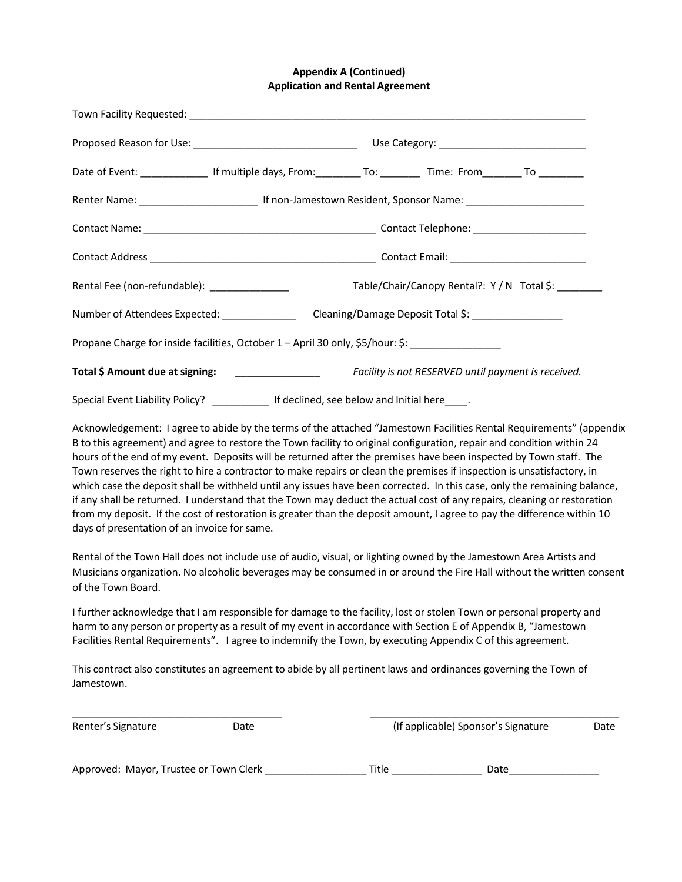### **Appendix A (Continued) Application and Rental Agreement**

| Date of Event: ________________ If multiple days, From: ___________ To: __________ Time: From ________ To _________ |  |  |  |                                             |  |  |
|---------------------------------------------------------------------------------------------------------------------|--|--|--|---------------------------------------------|--|--|
|                                                                                                                     |  |  |  |                                             |  |  |
|                                                                                                                     |  |  |  |                                             |  |  |
|                                                                                                                     |  |  |  |                                             |  |  |
| Rental Fee (non-refundable): __________________                                                                     |  |  |  | Table/Chair/Canopy Rental?: Y / N Total \$: |  |  |
| Number of Attendees Expected: _________________ Cleaning/Damage Deposit Total \$: __________________                |  |  |  |                                             |  |  |
| Propane Charge for inside facilities, October 1 - April 30 only, \$5/hour: \$: ______________________               |  |  |  |                                             |  |  |
|                                                                                                                     |  |  |  |                                             |  |  |
| Special Event Liability Policy? ______________ If declined, see below and Initial here_____.                        |  |  |  |                                             |  |  |

Acknowledgement: I agree to abide by the terms of the attached "Jamestown Facilities Rental Requirements" (appendix B to this agreement) and agree to restore the Town facility to original configuration, repair and condition within 24 hours of the end of my event. Deposits will be returned after the premises have been inspected by Town staff. The Town reserves the right to hire a contractor to make repairs or clean the premises if inspection is unsatisfactory, in which case the deposit shall be withheld until any issues have been corrected. In this case, only the remaining balance, if any shall be returned. I understand that the Town may deduct the actual cost of any repairs, cleaning or restoration from my deposit. If the cost of restoration is greater than the deposit amount, I agree to pay the difference within 10 days of presentation of an invoice for same.

Rental of the Town Hall does not include use of audio, visual, or lighting owned by the Jamestown Area Artists and Musicians organization. No alcoholic beverages may be consumed in or around the Fire Hall without the written consent of the Town Board.

I further acknowledge that I am responsible for damage to the facility, lost or stolen Town or personal property and harm to any person or property as a result of my event in accordance with Section E of Appendix B, "Jamestown Facilities Rental Requirements". I agree to indemnify the Town, by executing Appendix C of this agreement.

This contract also constitutes an agreement to abide by all pertinent laws and ordinances governing the Town of Jamestown. 

 $\_$  , and the set of the set of the set of the set of the set of the set of the set of the set of the set of the set of the set of the set of the set of the set of the set of the set of the set of the set of the set of th

Renter's Signature **Community** Cate Communist Communist Communist Communist Communist Communist Communist Communist Communist Communist Communist Communist Communist Communist Communist Communist Communist Communist Commun

| Approved: Mayor, Trustee or Town Clerk | itle | Date |  |
|----------------------------------------|------|------|--|
|                                        |      |      |  |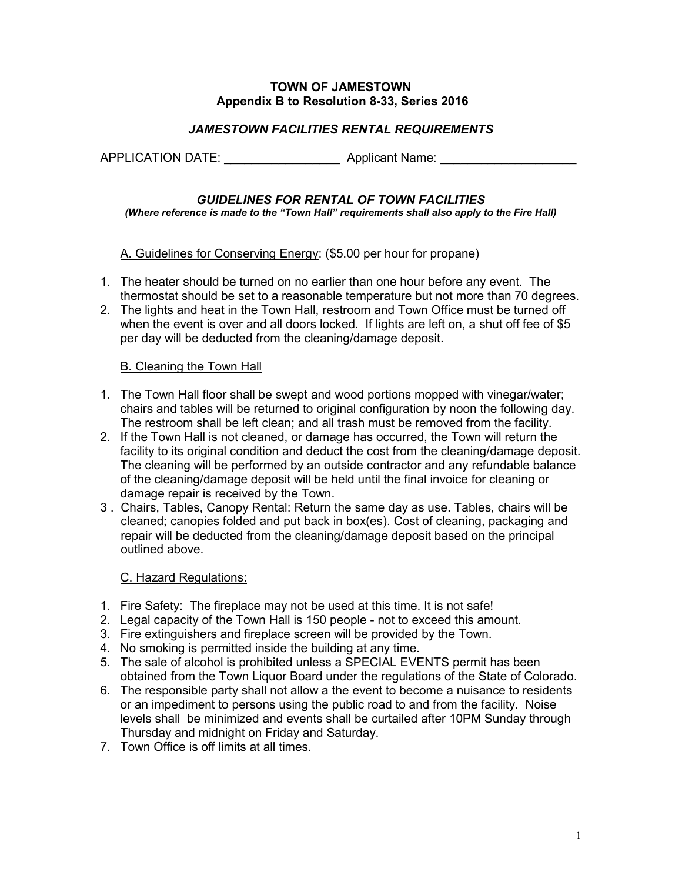## **TOWN OF JAMESTOWN Appendix B to Resolution 8-33, Series 2016**

# *JAMESTOWN FACILITIES RENTAL REQUIREMENTS*

APPLICATION DATE: Applicant Name:

# *GUIDELINES FOR RENTAL OF TOWN FACILITIES*

*(Where reference is made to the "Town Hall" requirements shall also apply to the Fire Hall)*

## A. Guidelines for Conserving Energy: (\$5.00 per hour for propane)

- 1. The heater should be turned on no earlier than one hour before any event. The thermostat should be set to a reasonable temperature but not more than 70 degrees.
- 2. The lights and heat in the Town Hall, restroom and Town Office must be turned off when the event is over and all doors locked. If lights are left on, a shut off fee of \$5 per day will be deducted from the cleaning/damage deposit.

## B. Cleaning the Town Hall

- 1. The Town Hall floor shall be swept and wood portions mopped with vinegar/water; chairs and tables will be returned to original configuration by noon the following day. The restroom shall be left clean; and all trash must be removed from the facility.
- 2. If the Town Hall is not cleaned, or damage has occurred, the Town will return the facility to its original condition and deduct the cost from the cleaning/damage deposit. The cleaning will be performed by an outside contractor and any refundable balance of the cleaning/damage deposit will be held until the final invoice for cleaning or damage repair is received by the Town.
- 3 . Chairs, Tables, Canopy Rental: Return the same day as use. Tables, chairs will be cleaned; canopies folded and put back in box(es). Cost of cleaning, packaging and repair will be deducted from the cleaning/damage deposit based on the principal outlined above.

# C. Hazard Regulations:

- 1. Fire Safety: The fireplace may not be used at this time. It is not safe!
- 2. Legal capacity of the Town Hall is 150 people not to exceed this amount.
- 3. Fire extinguishers and fireplace screen will be provided by the Town.
- 4. No smoking is permitted inside the building at any time.
- 5. The sale of alcohol is prohibited unless a SPECIAL EVENTS permit has been obtained from the Town Liquor Board under the regulations of the State of Colorado.
- 6. The responsible party shall not allow a the event to become a nuisance to residents or an impediment to persons using the public road to and from the facility. Noise levels shall be minimized and events shall be curtailed after 10PM Sunday through Thursday and midnight on Friday and Saturday.
- 7. Town Office is off limits at all times.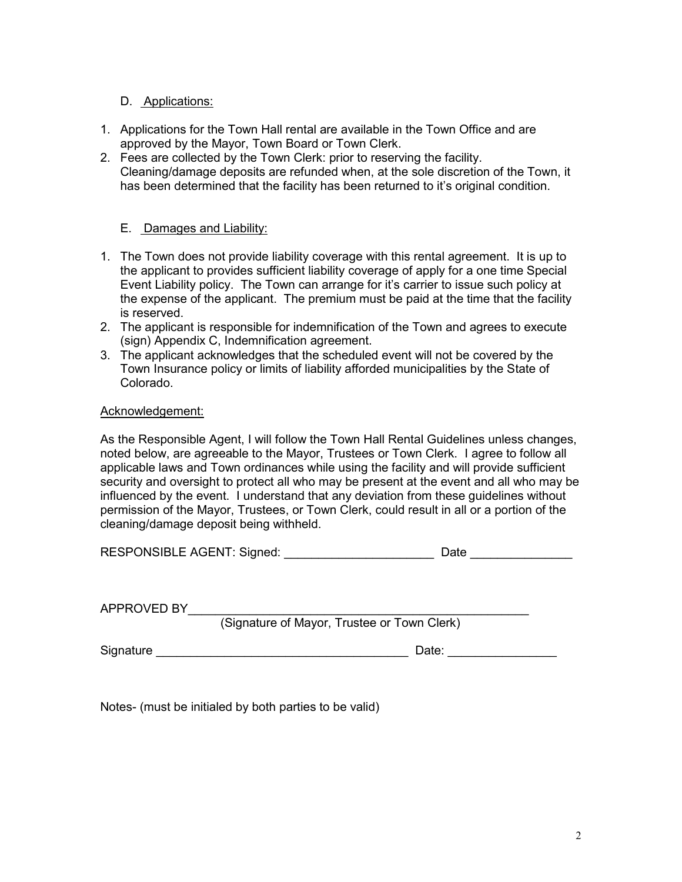# D. Applications:

- 1. Applications for the Town Hall rental are available in the Town Office and are approved by the Mayor, Town Board or Town Clerk.
- 2. Fees are collected by the Town Clerk: prior to reserving the facility. Cleaning/damage deposits are refunded when, at the sole discretion of the Town, it has been determined that the facility has been returned to it's original condition.

## E. Damages and Liability:

- 1. The Town does not provide liability coverage with this rental agreement. It is up to the applicant to provides sufficient liability coverage of apply for a one time Special Event Liability policy. The Town can arrange for it's carrier to issue such policy at the expense of the applicant. The premium must be paid at the time that the facility is reserved.
- 2. The applicant is responsible for indemnification of the Town and agrees to execute (sign) Appendix C, Indemnification agreement.
- 3. The applicant acknowledges that the scheduled event will not be covered by the Town Insurance policy or limits of liability afforded municipalities by the State of Colorado.

## Acknowledgement:

As the Responsible Agent, I will follow the Town Hall Rental Guidelines unless changes, noted below, are agreeable to the Mayor, Trustees or Town Clerk. I agree to follow all applicable laws and Town ordinances while using the facility and will provide sufficient security and oversight to protect all who may be present at the event and all who may be influenced by the event. I understand that any deviation from these guidelines without permission of the Mayor, Trustees, or Town Clerk, could result in all or a portion of the cleaning/damage deposit being withheld.

| <b>RESPONSIBLE AGENT: Signed:</b> | Date |
|-----------------------------------|------|
|-----------------------------------|------|

APPROVED BY\_\_\_\_\_\_\_\_\_\_\_\_\_\_\_\_\_\_\_\_\_\_\_\_\_\_\_\_\_\_\_\_\_\_\_\_\_\_\_\_\_\_\_\_\_\_\_\_\_\_

(Signature of Mayor, Trustee or Town Clerk)

Signature **Example 20** and the set of the set of the set of the Date:  $\Box$  Date:  $\Box$ 

Notes- (must be initialed by both parties to be valid)